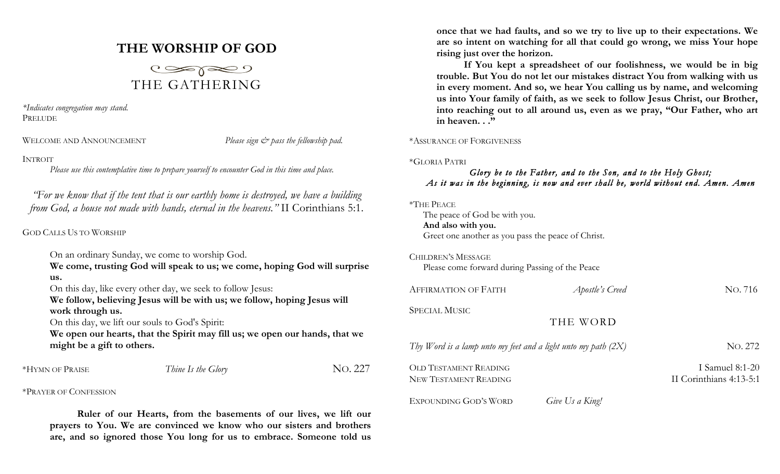# **THE WORSHIP OF GOD**



*\*Indicates congregation may stand.* PRELUDE

WELCOME AND ANNOUNCEMENT *Please sign*  $\breve{c}$  *pass the fellowship pad.* 

## INTROIT

*Please use this contemplative time to prepare yourself to encounter God in this time and place.*

*"For we know that if the tent that is our earthly home is destroyed, we have a building from God, a house not made with hands, eternal in the heavens."* II Corinthians 5:1.

## GOD CALLS US TO WORSHIP

On an ordinary Sunday, we come to worship God.

**We come, trusting God will speak to us; we come, hoping God will surprise us.**

On this day, like every other day, we seek to follow Jesus:

**We follow, believing Jesus will be with us; we follow, hoping Jesus will work through us.**

On this day, we lift our souls to God's Spirit:

**We open our hearts, that the Spirit may fill us; we open our hands, that we might be a gift to others.**

| *HYMN OF PRAISE | Thine Is the Glory | No. 227 |
|-----------------|--------------------|---------|
|                 |                    |         |

\*PRAYER OF CONFESSION

**Ruler of our Hearts, from the basements of our lives, we lift our prayers to You. We are convinced we know who our sisters and brothers are, and so ignored those You long for us to embrace. Someone told us**  **once that we had faults, and so we try to live up to their expectations. We are so intent on watching for all that could go wrong, we miss Your hope rising just over the horizon.**

**If You kept a spreadsheet of our foolishness, we would be in big trouble. But You do not let our mistakes distract You from walking with us in every moment. And so, we hear You calling us by name, and welcoming us into Your family of faith, as we seek to follow Jesus Christ, our Brother, into reaching out to all around us, even as we pray, "Our Father, who art in heaven. . ."**

\*ASSURANCE OF FORGIVENESS

\*GLORIA PATRI

# *Glory be to the Father, and to the Son, and to the Holy Ghost; As it was in the beginning, is now and ever shall be, world without end. Amen. Amen*

### \*THE PEACE

The peace of God be with you. **And also with you.** Greet one another as you pass the peace of Christ.

CHILDREN'S MESSAGE

Please come forward during Passing of the Peace

| <b>AFFIRMATION OF FAITH</b>                                     | Apostle's Creed | NO. 716                                      |
|-----------------------------------------------------------------|-----------------|----------------------------------------------|
| <b>SPECIAL MUSIC</b>                                            | THE WORD        |                                              |
| Thy Word is a lamp unto my feet and a light unto my path $(2X)$ |                 | No. 272                                      |
| <b>OLD TESTAMENT READING</b><br>NEW TESTAMENT READING           |                 | I Samuel $8:1-20$<br>II Corinthians 4:13-5:1 |
| EXPOUNDING GOD'S WORD                                           | Give Us a King! |                                              |